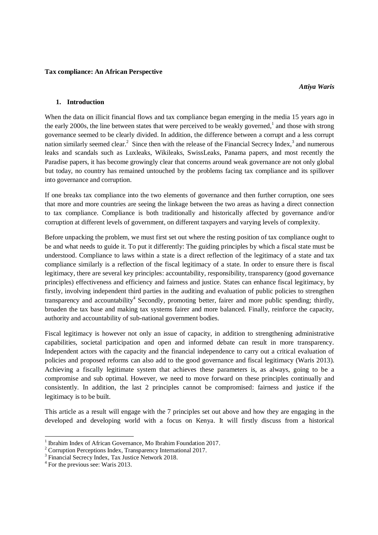#### **Tax compliance: An African Perspective**

#### **1. Introduction**

When the data on illicit financial flows and tax compliance began emerging in the media 15 years ago in the early 2000s, the line between states that were perceived to be weakly governed,<sup>1</sup> and those with strong governance seemed to be clearly divided. In addition, the difference between a corrupt and a less corrupt nation similarly seemed clear.<sup>2</sup> Since then with the release of the Financial Secrecy Index,<sup>3</sup> and numerous leaks and scandals such as Luxleaks, Wikileaks, SwissLeaks, Panama papers, and most recently the Paradise papers, it has become growingly clear that concerns around weak governance are not only global but today, no country has remained untouched by the problems facing tax compliance and its spillover into governance and corruption.

If one breaks tax compliance into the two elements of governance and then further corruption, one sees that more and more countries are seeing the linkage between the two areas as having a direct connection to tax compliance. Compliance is both traditionally and historically affected by governance and/or corruption at different levels of government, on different taxpayers and varying levels of complexity.

Before unpacking the problem, we must first set out where the resting position of tax compliance ought to be and what needs to guide it. To put it differently: The guiding principles by which a fiscal state must be understood. Compliance to laws within a state is a direct reflection of the legitimacy of a state and tax compliance similarly is a reflection of the fiscal legitimacy of a state. In order to ensure there is fiscal legitimacy, there are several key principles: accountability, responsibility, transparency (good governance principles) effectiveness and efficiency and fairness and justice. States can enhance fiscal legitimacy, by firstly, involving independent third parties in the auditing and evaluation of public policies to strengthen transparency and accountability<sup>4</sup> Secondly, promoting better, fairer and more public spending; thirdly, broaden the tax base and making tax systems fairer and more balanced. Finally, reinforce the capacity, authority and accountability of sub-national government bodies.

Fiscal legitimacy is however not only an issue of capacity, in addition to strengthening administrative capabilities, societal participation and open and informed debate can result in more transparency. Independent actors with the capacity and the financial independence to carry out a critical evaluation of policies and proposed reforms can also add to the good governance and fiscal legitimacy (Waris 2013). Achieving a fiscally legitimate system that achieves these parameters is, as always, going to be a compromise and sub optimal. However, we need to move forward on these principles continually and consistently. In addition, the last 2 principles cannot be compromised: fairness and justice if the legitimacy is to be built.

This article as a result will engage with the 7 principles set out above and how they are engaging in the developed and developing world with a focus on Kenya. It will firstly discuss from a historical

 $\overline{\phantom{a}}$ 

<sup>&</sup>lt;sup>1</sup> Ibrahim Index of African Governance, Mo Ibrahim Foundation 2017.

<sup>2</sup> Corruption Perceptions Index, Transparency International 2017.

<sup>&</sup>lt;sup>3</sup> Financial Secrecy Index, Tax Justice Network 2018.

<sup>&</sup>lt;sup>4</sup> For the previous see: Waris 2013.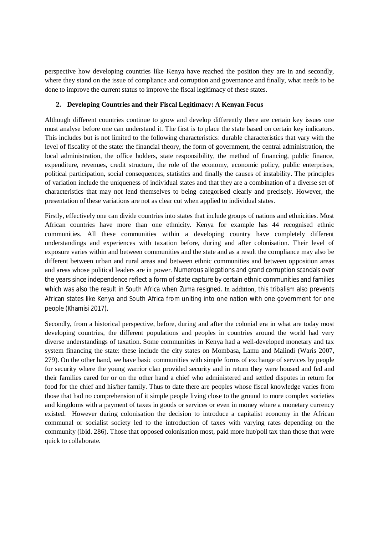perspective how developing countries like Kenya have reached the position they are in and secondly, where they stand on the issue of compliance and corruption and governance and finally, what needs to be done to improve the current status to improve the fiscal legitimacy of these states.

## **2. Developing Countries and their Fiscal Legitimacy: A Kenyan Focus**

Although different countries continue to grow and develop differently there are certain key issues one must analyse before one can understand it. The first is to place the state based on certain key indicators. This includes but is not limited to the following characteristics: durable characteristics that vary with the level of fiscality of the state: the financial theory, the form of government, the central administration, the local administration, the office holders, state responsibility, the method of financing, public finance, expenditure, revenues, credit structure, the role of the economy, economic policy, public enterprises, political participation, social consequences, statistics and finally the causes of instability. The principles of variation include the uniqueness of individual states and that they are a combination of a diverse set of characteristics that may not lend themselves to being categorised clearly and precisely. However, the presentation of these variations are not as clear cut when applied to individual states.

Firstly, effectively one can divide countries into states that include groups of nations and ethnicities. Most African countries have more than one ethnicity. Kenya for example has 44 recognised ethnic communities. All these communities within a developing country have completely different understandings and experiences with taxation before, during and after colonisation. Their level of exposure varies within and between communities and the state and as a result the compliance may also be different between urban and rural areas and between ethnic communities and between opposition areas and areas whose political leaders are in power. Numerous allegations and grand corruption scandals over the years since independence reflect a form of state capture by certain ethnic communities and families which was also the result in South Africa when Zuma resigned. In addition, this tribalism also prevents African states like Kenya and South Africa from uniting into one nation with one government for one people (Khamisi 2017).

Secondly, from a historical perspective, before, during and after the colonial era in what are today most developing countries, the different populations and peoples in countries around the world had very diverse understandings of taxation. Some communities in Kenya had a well-developed monetary and tax system financing the state: these include the city states on Mombasa, Lamu and Malindi (Waris 2007, 279). On the other hand, we have basic communities with simple forms of exchange of services by people for security where the young warrior clan provided security and in return they were housed and fed and their families cared for or on the other hand a chief who administered and settled disputes in return for food for the chief and his/her family. Thus to date there are peoples whose fiscal knowledge varies from those that had no comprehension of it simple people living close to the ground to more complex societies and kingdoms with a payment of taxes in goods or services or even in money where a monetary currency existed. However during colonisation the decision to introduce a capitalist economy in the African communal or socialist society led to the introduction of taxes with varying rates depending on the community (ibid. 286). Those that opposed colonisation most, paid more hut/poll tax than those that were quick to collaborate.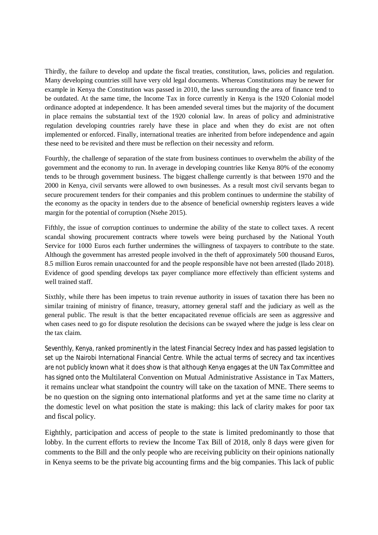Thirdly, the failure to develop and update the fiscal treaties, constitution, laws, policies and regulation. Many developing countries still have very old legal documents. Whereas Constitutions may be newer for example in Kenya the Constitution was passed in 2010, the laws surrounding the area of finance tend to be outdated. At the same time, the Income Tax in force currently in Kenya is the 1920 Colonial model ordinance adopted at independence. It has been amended several times but the majority of the document in place remains the substantial text of the 1920 colonial law. In areas of policy and administrative regulation developing countries rarely have these in place and when they do exist are not often implemented or enforced. Finally, international treaties are inherited from before independence and again these need to be revisited and there must be reflection on their necessity and reform.

Fourthly, the challenge of separation of the state from business continues to overwhelm the ability of the government and the economy to run. In average in developing countries like Kenya 80% of the economy tends to be through government business. The biggest challenge currently is that between 1970 and the 2000 in Kenya, civil servants were allowed to own businesses. As a result most civil servants began to secure procurement tenders for their companies and this problem continues to undermine the stability of the economy as the opacity in tenders due to the absence of beneficial ownership registers leaves a wide margin for the potential of corruption (Nsehe 2015).

Fifthly, the issue of corruption continues to undermine the ability of the state to collect taxes. A recent scandal showing procurement contracts where towels were being purchased by the National Youth Service for 1000 Euros each further undermines the willingness of taxpayers to contribute to the state. Although the government has arrested people involved in the theft of approximately 500 thousand Euros, 8.5 million Euros remain unaccounted for and the people responsible have not been arrested (Ilado 2018). Evidence of good spending develops tax payer compliance more effectively than efficient systems and well trained staff.

Sixthly, while there has been impetus to train revenue authority in issues of taxation there has been no similar training of ministry of finance, treasury, attorney general staff and the judiciary as well as the general public. The result is that the better encapacitated revenue officials are seen as aggressive and when cases need to go for dispute resolution the decisions can be swayed where the judge is less clear on the tax claim.

Seventhly, Kenya, ranked prominently in the latest Financial Secrecy Index and has passed legislation to set up the Nairobi International Financial Centre. While the actual terms of secrecy and tax incentives are not publicly known what it does show is that although Kenya engages at the UN Tax Committee and has signed onto the Multilateral Convention on Mutual Administrative Assistance in Tax Matters, it remains unclear what standpoint the country will take on the taxation of MNE. There seems to be no question on the signing onto international platforms and yet at the same time no clarity at the domestic level on what position the state is making: this lack of clarity makes for poor tax and fiscal policy.

Eighthly, participation and access of people to the state is limited predominantly to those that lobby. In the current efforts to review the Income Tax Bill of 2018, only 8 days were given for comments to the Bill and the only people who are receiving publicity on their opinions nationally in Kenya seems to be the private big accounting firms and the big companies. This lack of public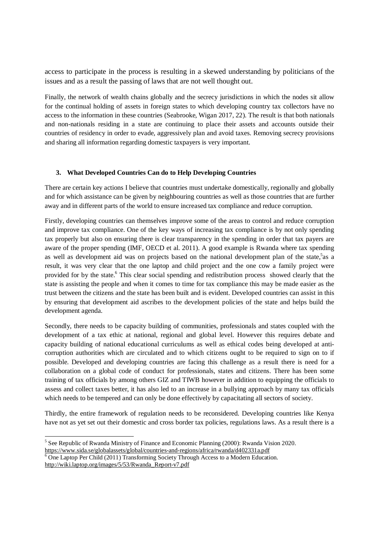access to participate in the process is resulting in a skewed understanding by politicians of the issues and as a result the passing of laws that are not well thought out.

Finally, the network of wealth chains globally and the secrecy jurisdictions in which the nodes sit allow for the continual holding of assets in foreign states to which developing country tax collectors have no access to the information in these countries (Seabrooke, Wigan 2017, 22). The result is that both nationals and non-nationals residing in a state are continuing to place their assets and accounts outside their countries of residency in order to evade, aggressively plan and avoid taxes. Removing secrecy provisions and sharing all information regarding domestic taxpayers is very important.

## **3. What Developed Countries Can do to Help Developing Countries**

There are certain key actions I believe that countries must undertake domestically, regionally and globally and for which assistance can be given by neighbouring countries as well as those countries that are further away and in different parts of the world to ensure increased tax compliance and reduce corruption.

Firstly, developing countries can themselves improve some of the areas to control and reduce corruption and improve tax compliance. One of the key ways of increasing tax compliance is by not only spending tax properly but also on ensuring there is clear transparency in the spending in order that tax payers are aware of the proper spending (IMF, OECD et al. 2011). A good example is Rwanda where tax spending as well as development aid was on projects based on the national development plan of the state, as a result, it was very clear that the one laptop and child project and the one cow a family project were provided for by the state.<sup>6</sup> This clear social spending and redistribution process showed clearly that the state is assisting the people and when it comes to time for tax compliance this may be made easier as the trust between the citizens and the state has been built and is evident. Developed countries can assist in this by ensuring that development aid ascribes to the development policies of the state and helps build the development agenda.

Secondly, there needs to be capacity building of communities, professionals and states coupled with the development of a tax ethic at national, regional and global level. However this requires debate and capacity building of national educational curriculums as well as ethical codes being developed at anticorruption authorities which are circulated and to which citizens ought to be required to sign on to if possible. Developed and developing countries are facing this challenge as a result there is need for a collaboration on a global code of conduct for professionals, states and citizens. There has been some training of tax officials by among others GIZ and TIWB however in addition to equipping the officials to assess and collect taxes better, it has also led to an increase in a bullying approach by many tax officials which needs to be tempered and can only be done effectively by capacitating all sectors of society.

Thirdly, the entire framework of regulation needs to be reconsidered. Developing countries like Kenya have not as yet set out their domestic and cross border tax policies, regulations laws. As a result there is a

 $6$  One Laptop Per Child (2011) Transforming Society Through Access to a Modern Education.

[http://wiki.laptop.org/images/5/53/Rwanda\\_Report-v7.pdf](http://wiki.laptop.org/images/5/53/Rwanda_Report-v7.pdf)

 $\overline{\phantom{a}}$  $<sup>5</sup>$  See Republic of Rwanda Ministry of Finance and Economic Planning (2000): Rwanda Vision 2020.</sup> <https://www.sida.se/globalassets/global/countries-and-regions/africa/rwanda/d402331a.pdf>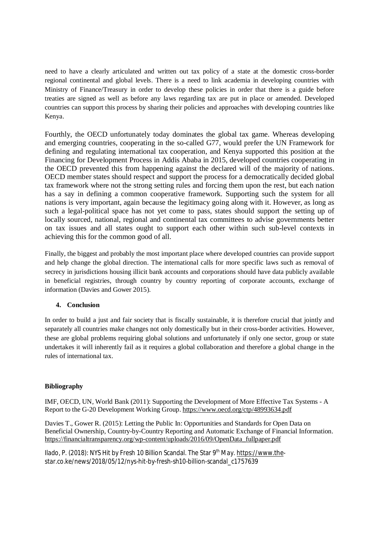need to have a clearly articulated and written out tax policy of a state at the domestic cross-border regional continental and global levels. There is a need to link academia in developing countries with Ministry of Finance/Treasury in order to develop these policies in order that there is a guide before treaties are signed as well as before any laws regarding tax are put in place or amended. Developed countries can support this process by sharing their policies and approaches with developing countries like Kenya.

Fourthly, the OECD unfortunately today dominates the global tax game. Whereas developing and emerging countries, cooperating in the so-called G77, would prefer the UN Framework for defining and regulating international tax cooperation, and Kenya supported this position at the Financing for Development Process in Addis Ababa in 2015, developed countries cooperating in the OECD prevented this from happening against the declared will of the majority of nations. OECD member states should respect and support the process for a democratically decided global tax framework where not the strong setting rules and forcing them upon the rest, but each nation has a say in defining a common cooperative framework. Supporting such the system for all nations is very important, again because the legitimacy going along with it. However, as long as such a legal-political space has not yet come to pass, states should support the setting up of locally sourced, national, regional and continental tax committees to advise governments better on tax issues and all states ought to support each other within such sub-level contexts in achieving this for the common good of all.

Finally, the biggest and probably the most important place where developed countries can provide support and help change the global direction. The international calls for more specific laws such as removal of secrecy in jurisdictions housing illicit bank accounts and corporations should have data publicly available in beneficial registries, through country by country reporting of corporate accounts, exchange of information (Davies and Gower 2015).

# **4. Conclusion**

In order to build a just and fair society that is fiscally sustainable, it is therefore crucial that jointly and separately all countries make changes not only domestically but in their cross-border activities. However, these are global problems requiring global solutions and unfortunately if only one sector, group or state undertakes it will inherently fail as it requires a global collaboration and therefore a global change in the rules of international tax.

# **Bibliography**

IMF, OECD, UN, World Bank (2011): Supporting the Development of More Effective Tax Systems - A Report to the G-20 Development Working Group. <https://www.oecd.org/ctp/48993634.pdf>

Davies T., Gower R. (2015): Letting the Public In: Opportunities and Standards for Open Data on Beneficial Ownership, Country-by-Country Reporting and Automatic Exchange of Financial Information. [https://financialtransparency.org/wp-content/uploads/2016/09/OpenData\\_fullpaper.pdf](https://financialtransparency.org/wp-content/uploads/2016/09/OpenData_fullpaper.pdf)

Ilado, P. (2018): NYS Hit by Fresh 10 Billion Scandal. The Star 9<sup>th</sup> May.<https://www.the>star.co.ke/news/2018/05/12/nys-hit-by-fresh-sh10-billion-scandal\_c1757639